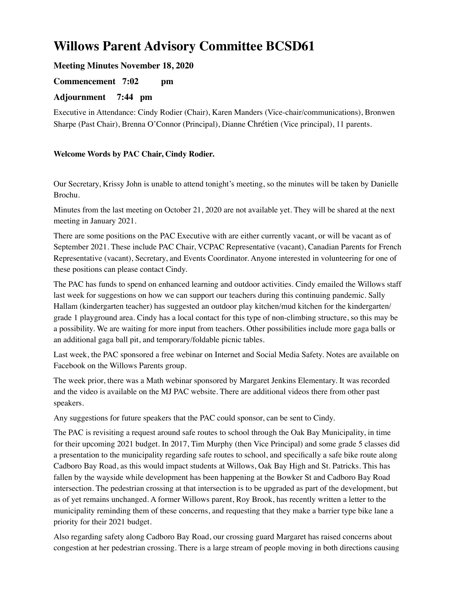# **Willows Parent Advisory Committee BCSD61**

## **Meeting Minutes November 18, 2020**

## **Commencement 7:02 pm**

## **Adjournment 7:44 pm**

Executive in Attendance: Cindy Rodier (Chair), Karen Manders (Vice-chair/communications), Bronwen Sharpe (Past Chair), Brenna O'Connor (Principal), Dianne Chrétien (Vice principal), 11 parents.

#### **Welcome Words by PAC Chair, Cindy Rodier.**

Our Secretary, Krissy John is unable to attend tonight's meeting, so the minutes will be taken by Danielle Brochu.

Minutes from the last meeting on October 21, 2020 are not available yet. They will be shared at the next meeting in January 2021.

There are some positions on the PAC Executive with are either currently vacant, or will be vacant as of September 2021. These include PAC Chair, VCPAC Representative (vacant), Canadian Parents for French Representative (vacant), Secretary, and Events Coordinator. Anyone interested in volunteering for one of these positions can please contact Cindy.

The PAC has funds to spend on enhanced learning and outdoor activities. Cindy emailed the Willows staff last week for suggestions on how we can support our teachers during this continuing pandemic. Sally Hallam (kindergarten teacher) has suggested an outdoor play kitchen/mud kitchen for the kindergarten/ grade 1 playground area. Cindy has a local contact for this type of non-climbing structure, so this may be a possibility. We are waiting for more input from teachers. Other possibilities include more gaga balls or an additional gaga ball pit, and temporary/foldable picnic tables.

Last week, the PAC sponsored a free webinar on Internet and Social Media Safety. Notes are available on Facebook on the Willows Parents group.

The week prior, there was a Math webinar sponsored by Margaret Jenkins Elementary. It was recorded and the video is available on the MJ PAC website. There are additional videos there from other past speakers.

Any suggestions for future speakers that the PAC could sponsor, can be sent to Cindy.

The PAC is revisiting a request around safe routes to school through the Oak Bay Municipality, in time for their upcoming 2021 budget. In 2017, Tim Murphy (then Vice Principal) and some grade 5 classes did a presentation to the municipality regarding safe routes to school, and specifically a safe bike route along Cadboro Bay Road, as this would impact students at Willows, Oak Bay High and St. Patricks. This has fallen by the wayside while development has been happening at the Bowker St and Cadboro Bay Road intersection. The pedestrian crossing at that intersection is to be upgraded as part of the development, but as of yet remains unchanged. A former Willows parent, Roy Brook, has recently written a letter to the municipality reminding them of these concerns, and requesting that they make a barrier type bike lane a priority for their 2021 budget.

Also regarding safety along Cadboro Bay Road, our crossing guard Margaret has raised concerns about congestion at her pedestrian crossing. There is a large stream of people moving in both directions causing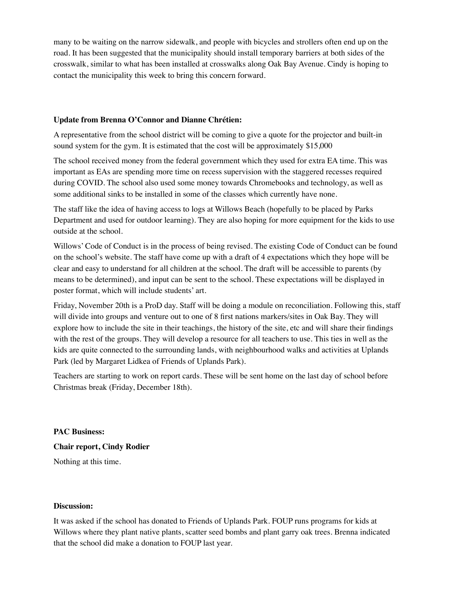many to be waiting on the narrow sidewalk, and people with bicycles and strollers often end up on the road. It has been suggested that the municipality should install temporary barriers at both sides of the crosswalk, similar to what has been installed at crosswalks along Oak Bay Avenue. Cindy is hoping to contact the municipality this week to bring this concern forward.

#### **Update from Brenna O'Connor and Dianne Chrétien:**

A representative from the school district will be coming to give a quote for the projector and built-in sound system for the gym. It is estimated that the cost will be approximately \$15,000

The school received money from the federal government which they used for extra EA time. This was important as EAs are spending more time on recess supervision with the staggered recesses required during COVID. The school also used some money towards Chromebooks and technology, as well as some additional sinks to be installed in some of the classes which currently have none.

The staff like the idea of having access to logs at Willows Beach (hopefully to be placed by Parks Department and used for outdoor learning). They are also hoping for more equipment for the kids to use outside at the school.

Willows' Code of Conduct is in the process of being revised. The existing Code of Conduct can be found on the school's website. The staff have come up with a draft of 4 expectations which they hope will be clear and easy to understand for all children at the school. The draft will be accessible to parents (by means to be determined), and input can be sent to the school. These expectations will be displayed in poster format, which will include students' art.

Friday, November 20th is a ProD day. Staff will be doing a module on reconciliation. Following this, staff will divide into groups and venture out to one of 8 first nations markers/sites in Oak Bay. They will explore how to include the site in their teachings, the history of the site, etc and will share their findings with the rest of the groups. They will develop a resource for all teachers to use. This ties in well as the kids are quite connected to the surrounding lands, with neighbourhood walks and activities at Uplands Park (led by Margaret Lidkea of Friends of Uplands Park).

Teachers are starting to work on report cards. These will be sent home on the last day of school before Christmas break (Friday, December 18th).

**PAC Business: Chair report, Cindy Rodier**  Nothing at this time.

#### **Discussion:**

It was asked if the school has donated to Friends of Uplands Park. FOUP runs programs for kids at Willows where they plant native plants, scatter seed bombs and plant garry oak trees. Brenna indicated that the school did make a donation to FOUP last year.